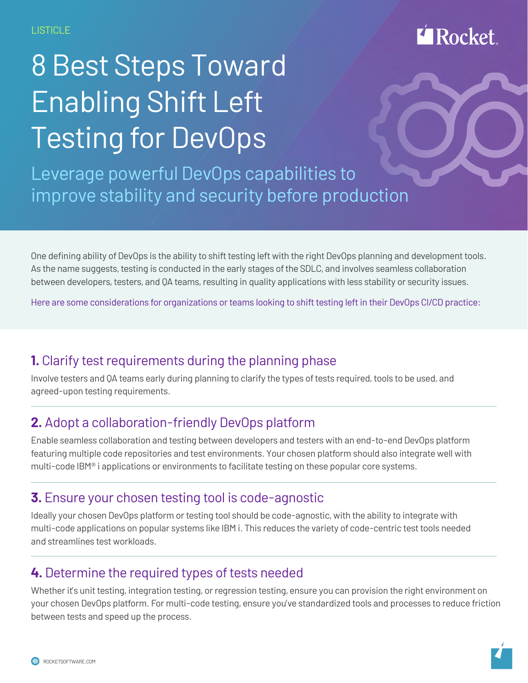# **Rocket**

# 8 Best Steps Toward Enabling Shift Left Testing for DevOps

Leverage powerful DevOps capabilities to improve stability and security before production

One defining ability of DevOps is the ability to shift testing left with the right DevOps planning and development tools. As the name suggests, testing is conducted in the early stages of the SDLC, and involves seamless collaboration between developers, testers, and QA teams, resulting in quality applications with less stability or security issues.

Here are some considerations for organizations or teams looking to shift testing left in their DevOps CI/CD practice:

# **1.** Clarify test requirements during the planning phase

Involve testers and QA teams early during planning to clarify the types of tests required, tools to be used, and agreed-upon testing requirements.

# **2.** Adopt a collaboration-friendly DevOps platform

Enable seamless collaboration and testing between developers and testers with an end-to-end DevOps platform featuring multiple code repositories and test environments. Your chosen platform should also integrate well with multi-code  $IBM<sup>°</sup>$  i applications or environments to facilitate testing on these popular core systems.

#### **3.** Ensure your chosen testing tool is code-agnostic

Ideally your chosen DevOps platform or testing tool should be code-agnostic, with the ability to integrate with multi-code applications on popular systems like IBM i. This reduces the variety of code-centric test tools needed and streamlines test workloads.

#### **4.** Determine the required types of tests needed

Whether it's unit testing, integration testing, or regression testing, ensure you can provision the right environment on your chosen DevOps platform. For multi-code testing, ensure you've standardized tools and processes to reduce friction between tests and speed up the process.